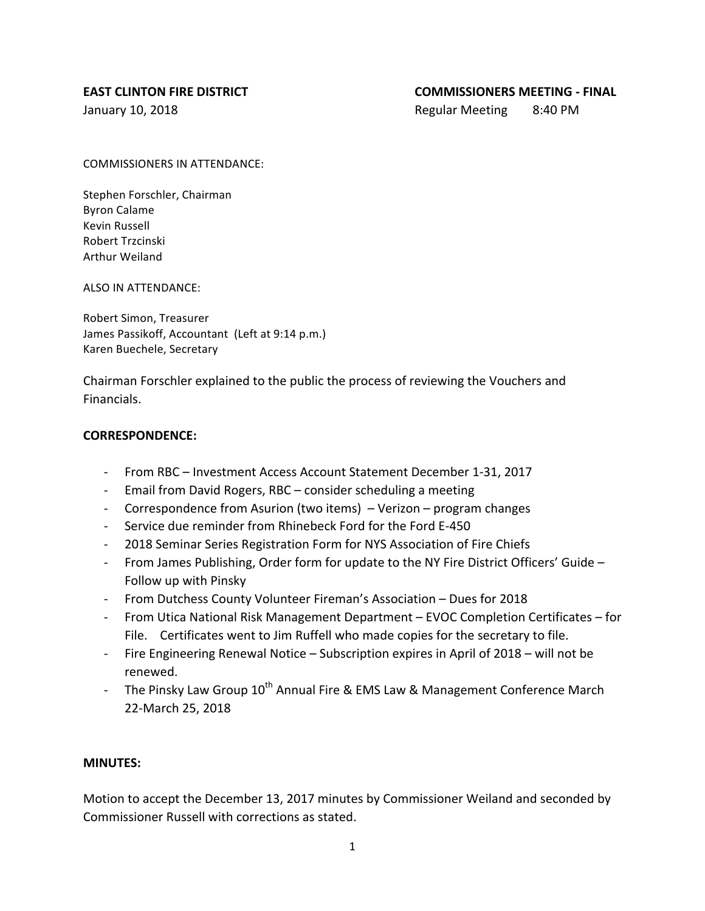## **EAST CLINTON FIRE DISTRICT COMMISSIONERS MEETING - FINAL**

January 10, 2018 **Regular Meeting 8:40 PM** 

COMMISSIONERS IN ATTENDANCE:

Stephen Forschler, Chairman Byron Calame Kevin Russell Robert Trzcinski Arthur Weiland

ALSO IN ATTENDANCE:

Robert Simon, Treasurer James Passikoff, Accountant (Left at 9:14 p.m.) Karen Buechele, Secretary

Chairman Forschler explained to the public the process of reviewing the Vouchers and Financials.

## **CORRESPONDENCE:**

- From RBC Investment Access Account Statement December 1-31, 2017
- Email from David Rogers, RBC consider scheduling a meeting
- Correspondence from Asurion (two items)  $-$  Verizon  $-$  program changes
- Service due reminder from Rhinebeck Ford for the Ford E-450
- 2018 Seminar Series Registration Form for NYS Association of Fire Chiefs
- From James Publishing, Order form for update to the NY Fire District Officers' Guide -Follow up with Pinsky
- From Dutchess County Volunteer Fireman's Association Dues for 2018
- From Utica National Risk Management Department EVOC Completion Certificates for File. Certificates went to Jim Ruffell who made copies for the secretary to file.
- Fire Engineering Renewal Notice Subscription expires in April of 2018 will not be renewed.
- The Pinsky Law Group  $10^{th}$  Annual Fire & EMS Law & Management Conference March 22-March 25, 2018

# **MINUTES:**

Motion to accept the December 13, 2017 minutes by Commissioner Weiland and seconded by Commissioner Russell with corrections as stated.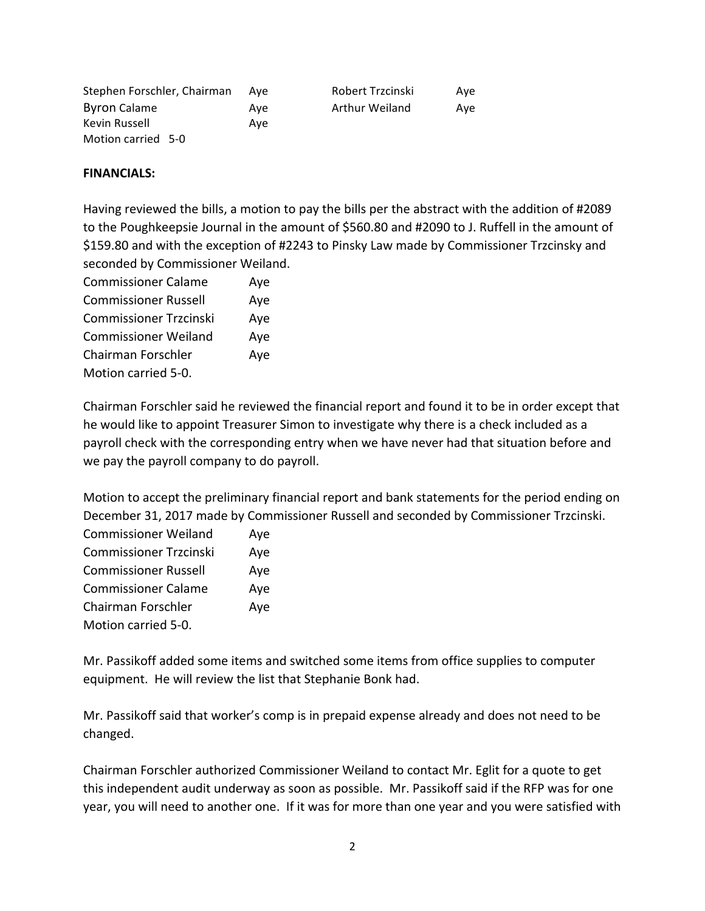| Stephen Forschler, Chairman | Ave | Robert Trzcinski      | Ave |
|-----------------------------|-----|-----------------------|-----|
| <b>Byron Calame</b>         | Ave | <b>Arthur Weiland</b> | Ave |
| Kevin Russell               | Ave |                       |     |
| Motion carried 5-0          |     |                       |     |

## **FINANCIALS:**

Having reviewed the bills, a motion to pay the bills per the abstract with the addition of #2089 to the Poughkeepsie Journal in the amount of \$560.80 and #2090 to J. Ruffell in the amount of \$159.80 and with the exception of #2243 to Pinsky Law made by Commissioner Trzcinsky and seconded by Commissioner Weiland.

| <b>Commissioner Calame</b>    | Aye |
|-------------------------------|-----|
| <b>Commissioner Russell</b>   | Aye |
| <b>Commissioner Trzcinski</b> | Aye |
| <b>Commissioner Weiland</b>   | Aye |
| Chairman Forschler            | Aye |
| Motion carried 5-0.           |     |

Chairman Forschler said he reviewed the financial report and found it to be in order except that he would like to appoint Treasurer Simon to investigate why there is a check included as a payroll check with the corresponding entry when we have never had that situation before and we pay the payroll company to do payroll.

Motion to accept the preliminary financial report and bank statements for the period ending on December 31, 2017 made by Commissioner Russell and seconded by Commissioner Trzcinski.

| <b>Commissioner Weiland</b>   | Aye |
|-------------------------------|-----|
| <b>Commissioner Trzcinski</b> | Aye |
| <b>Commissioner Russell</b>   | Aye |
| <b>Commissioner Calame</b>    | Aye |
| Chairman Forschler            | Aye |
| Motion carried 5-0.           |     |

Mr. Passikoff added some items and switched some items from office supplies to computer equipment. He will review the list that Stephanie Bonk had.

Mr. Passikoff said that worker's comp is in prepaid expense already and does not need to be changed. 

Chairman Forschler authorized Commissioner Weiland to contact Mr. Eglit for a quote to get this independent audit underway as soon as possible. Mr. Passikoff said if the RFP was for one year, you will need to another one. If it was for more than one year and you were satisfied with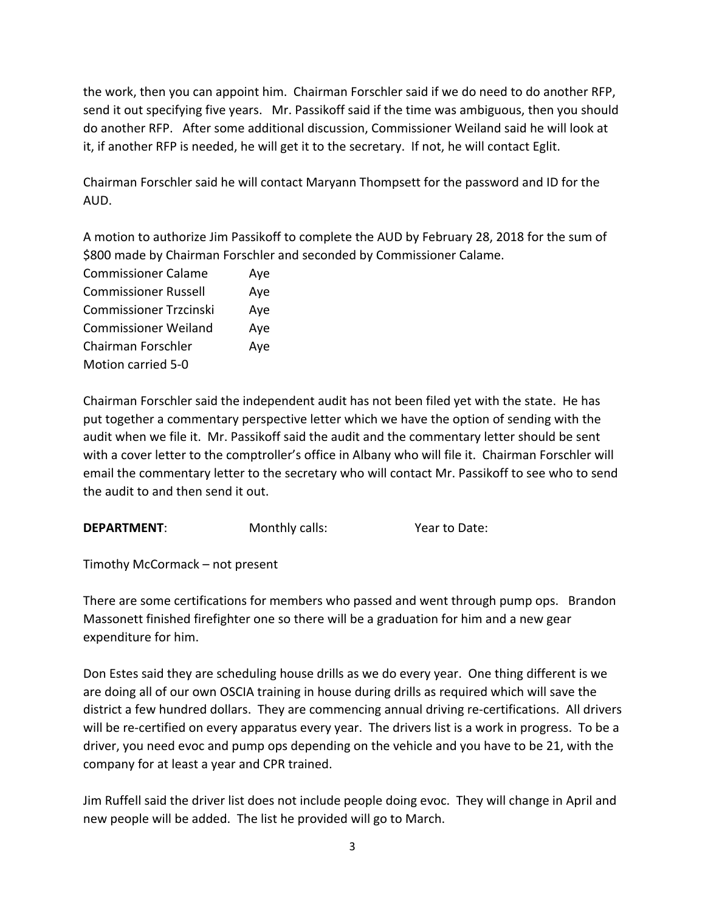the work, then you can appoint him. Chairman Forschler said if we do need to do another RFP, send it out specifying five years. Mr. Passikoff said if the time was ambiguous, then you should do another RFP. After some additional discussion, Commissioner Weiland said he will look at it, if another RFP is needed, he will get it to the secretary. If not, he will contact Eglit.

Chairman Forschler said he will contact Maryann Thompsett for the password and ID for the AUD. 

A motion to authorize Jim Passikoff to complete the AUD by February 28, 2018 for the sum of \$800 made by Chairman Forschler and seconded by Commissioner Calame.

| <b>Commissioner Calame</b>    | Aye |
|-------------------------------|-----|
| <b>Commissioner Russell</b>   | Aye |
| <b>Commissioner Trzcinski</b> | Aye |
| <b>Commissioner Weiland</b>   | Aye |
| <b>Chairman Forschler</b>     | Aye |
| Motion carried 5-0            |     |

Chairman Forschler said the independent audit has not been filed yet with the state. He has put together a commentary perspective letter which we have the option of sending with the audit when we file it. Mr. Passikoff said the audit and the commentary letter should be sent with a cover letter to the comptroller's office in Albany who will file it. Chairman Forschler will email the commentary letter to the secretary who will contact Mr. Passikoff to see who to send the audit to and then send it out.

**DEPARTMENT:** Monthly calls: **Wear** to Date:

Timothy McCormack – not present

There are some certifications for members who passed and went through pump ops. Brandon Massonett finished firefighter one so there will be a graduation for him and a new gear expenditure for him.

Don Estes said they are scheduling house drills as we do every year. One thing different is we are doing all of our own OSCIA training in house during drills as required which will save the district a few hundred dollars. They are commencing annual driving re-certifications. All drivers will be re-certified on every apparatus every year. The drivers list is a work in progress. To be a driver, you need evoc and pump ops depending on the vehicle and you have to be 21, with the company for at least a year and CPR trained.

Jim Ruffell said the driver list does not include people doing evoc. They will change in April and new people will be added. The list he provided will go to March.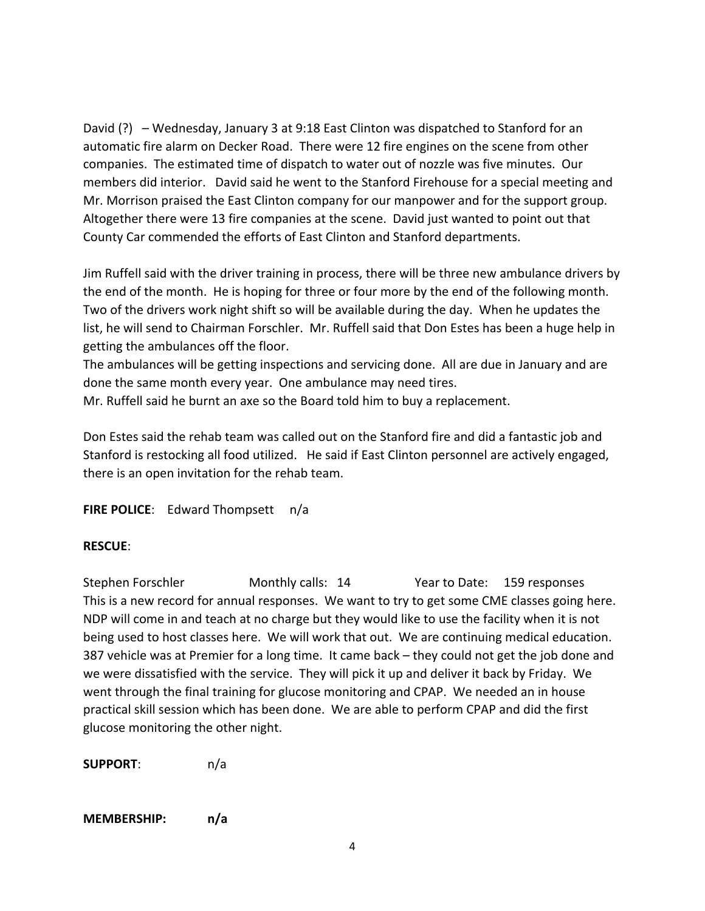David  $(?) -$  Wednesday, January 3 at 9:18 East Clinton was dispatched to Stanford for an automatic fire alarm on Decker Road. There were 12 fire engines on the scene from other companies. The estimated time of dispatch to water out of nozzle was five minutes. Our members did interior. David said he went to the Stanford Firehouse for a special meeting and Mr. Morrison praised the East Clinton company for our manpower and for the support group. Altogether there were 13 fire companies at the scene. David just wanted to point out that County Car commended the efforts of East Clinton and Stanford departments.

Jim Ruffell said with the driver training in process, there will be three new ambulance drivers by the end of the month. He is hoping for three or four more by the end of the following month. Two of the drivers work night shift so will be available during the day. When he updates the list, he will send to Chairman Forschler. Mr. Ruffell said that Don Estes has been a huge help in getting the ambulances off the floor.

The ambulances will be getting inspections and servicing done. All are due in January and are done the same month every year. One ambulance may need tires.

Mr. Ruffell said he burnt an axe so the Board told him to buy a replacement.

Don Estes said the rehab team was called out on the Stanford fire and did a fantastic job and Stanford is restocking all food utilized. He said if East Clinton personnel are actively engaged, there is an open invitation for the rehab team.

**FIRE POLICE:** Edward Thompsett n/a

# **RESCUE**:

Stephen Forschler Monthly calls: 14 Year to Date: 159 responses This is a new record for annual responses. We want to try to get some CME classes going here. NDP will come in and teach at no charge but they would like to use the facility when it is not being used to host classes here. We will work that out. We are continuing medical education. 387 vehicle was at Premier for a long time. It came back – they could not get the job done and we were dissatisfied with the service. They will pick it up and deliver it back by Friday. We went through the final training for glucose monitoring and CPAP. We needed an in house practical skill session which has been done. We are able to perform CPAP and did the first glucose monitoring the other night.

**SUPPORT**: n/a

# **MEMBERSHIP: n/a**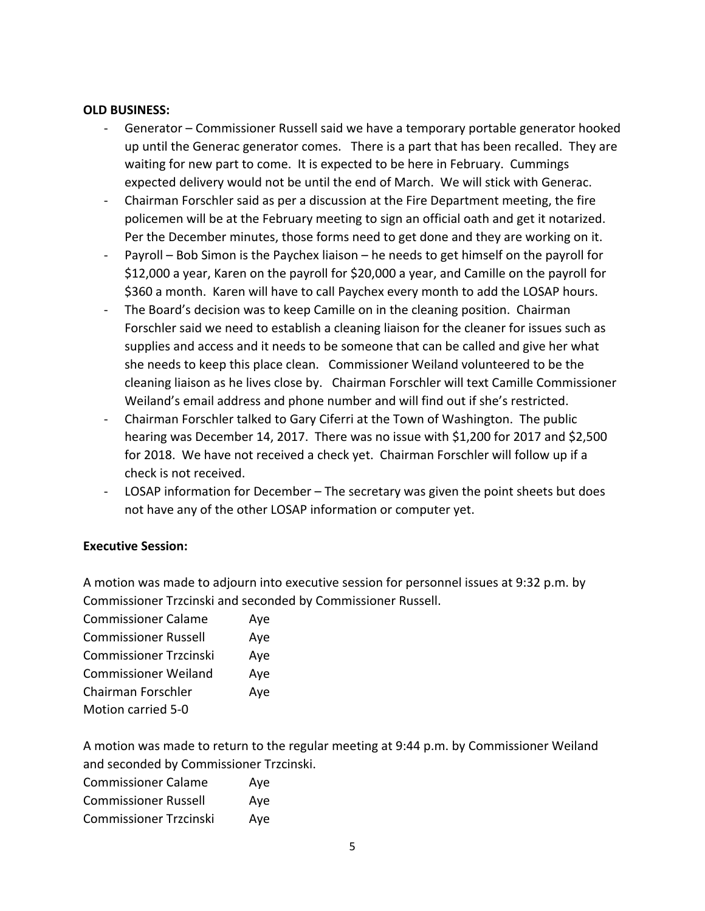## **OLD BUSINESS:**

- Generator Commissioner Russell said we have a temporary portable generator hooked up until the Generac generator comes. There is a part that has been recalled. They are waiting for new part to come. It is expected to be here in February. Cummings expected delivery would not be until the end of March. We will stick with Generac.
- Chairman Forschler said as per a discussion at the Fire Department meeting, the fire policemen will be at the February meeting to sign an official oath and get it notarized. Per the December minutes, those forms need to get done and they are working on it.
- Payroll Bob Simon is the Paychex liaison he needs to get himself on the payroll for \$12,000 a year, Karen on the payroll for \$20,000 a year, and Camille on the payroll for \$360 a month. Karen will have to call Paychex every month to add the LOSAP hours.
- The Board's decision was to keep Camille on in the cleaning position. Chairman Forschler said we need to establish a cleaning liaison for the cleaner for issues such as supplies and access and it needs to be someone that can be called and give her what she needs to keep this place clean. Commissioner Weiland volunteered to be the cleaning liaison as he lives close by. Chairman Forschler will text Camille Commissioner Weiland's email address and phone number and will find out if she's restricted.
- Chairman Forschler talked to Gary Ciferri at the Town of Washington. The public hearing was December 14, 2017. There was no issue with \$1,200 for 2017 and \$2,500 for 2018. We have not received a check yet. Chairman Forschler will follow up if a check is not received.
- LOSAP information for December The secretary was given the point sheets but does not have any of the other LOSAP information or computer yet.

# **Executive Session:**

A motion was made to adjourn into executive session for personnel issues at 9:32 p.m. by Commissioner Trzcinski and seconded by Commissioner Russell.

| <b>Commissioner Calame</b>    | Aye |
|-------------------------------|-----|
| <b>Commissioner Russell</b>   | Aye |
| <b>Commissioner Trzcinski</b> | Aye |
| <b>Commissioner Weiland</b>   | Aye |
| Chairman Forschler            | Aye |
| <b>Motion carried 5-0</b>     |     |

A motion was made to return to the regular meeting at 9:44 p.m. by Commissioner Weiland and seconded by Commissioner Trzcinski.

| <b>Commissioner Calame</b>    | Aye |
|-------------------------------|-----|
| <b>Commissioner Russell</b>   | Aye |
| <b>Commissioner Trzcinski</b> | Aye |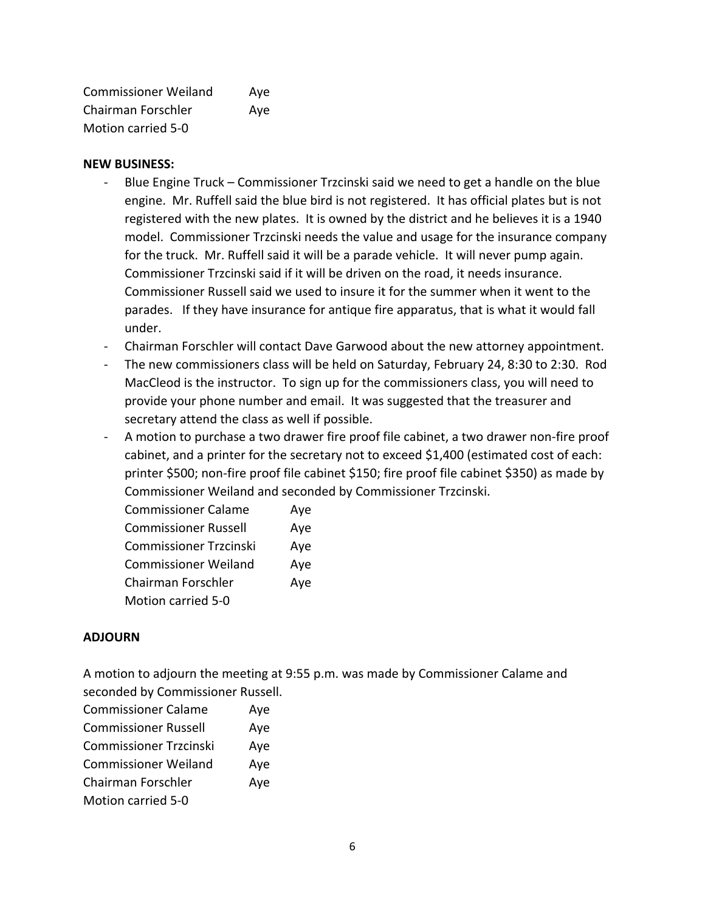Commissioner Weiland Aye Chairman Forschler Aye Motion carried 5-0

## **NEW BUSINESS:**

- Blue Engine Truck Commissioner Trzcinski said we need to get a handle on the blue engine. Mr. Ruffell said the blue bird is not registered. It has official plates but is not registered with the new plates. It is owned by the district and he believes it is a 1940 model. Commissioner Trzcinski needs the value and usage for the insurance company for the truck. Mr. Ruffell said it will be a parade vehicle. It will never pump again. Commissioner Trzcinski said if it will be driven on the road, it needs insurance. Commissioner Russell said we used to insure it for the summer when it went to the parades. If they have insurance for antique fire apparatus, that is what it would fall under.
- Chairman Forschler will contact Dave Garwood about the new attorney appointment.
- The new commissioners class will be held on Saturday, February 24, 8:30 to 2:30. Rod MacCleod is the instructor. To sign up for the commissioners class, you will need to provide your phone number and email. It was suggested that the treasurer and secretary attend the class as well if possible.
- A motion to purchase a two drawer fire proof file cabinet, a two drawer non-fire proof cabinet, and a printer for the secretary not to exceed \$1,400 (estimated cost of each: printer \$500; non-fire proof file cabinet \$150; fire proof file cabinet \$350) as made by Commissioner Weiland and seconded by Commissioner Trzcinski.

| <b>Commissioner Calame</b>    | Aye |
|-------------------------------|-----|
| <b>Commissioner Russell</b>   | Aye |
| <b>Commissioner Trzcinski</b> | Aye |
| <b>Commissioner Weiland</b>   | Aye |
| Chairman Forschler            | Aye |
| <b>Motion carried 5-0</b>     |     |

# **ADJOURN**

A motion to adjourn the meeting at 9:55 p.m. was made by Commissioner Calame and seconded by Commissioner Russell.

| <b>Commissioner Calame</b>    | Aye |
|-------------------------------|-----|
| <b>Commissioner Russell</b>   | Aye |
| <b>Commissioner Trzcinski</b> | Aye |
| <b>Commissioner Weiland</b>   | Aye |
| Chairman Forschler            | Aye |
| Motion carried 5-0            |     |